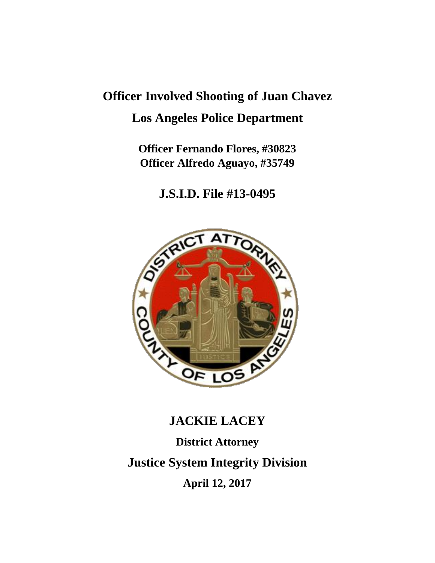# **Officer Involved Shooting of Juan Chavez Los Angeles Police Department**

**Officer Fernando Flores, #30823 Officer Alfredo Aguayo, #35749**

**J.S.I.D. File #13-0495**



# **JACKIE LACEY District Attorney Justice System Integrity Division April 12, 2017**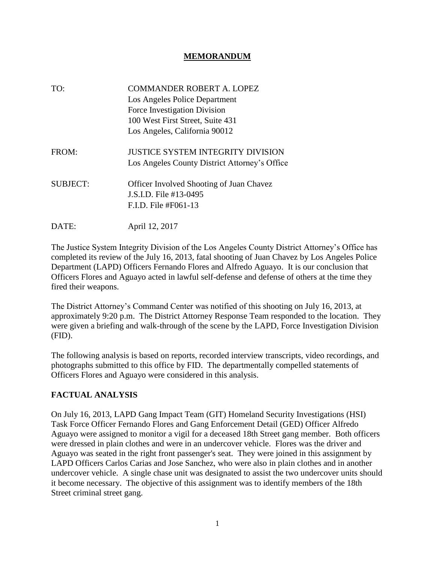#### **MEMORANDUM**

| TO:             | <b>COMMANDER ROBERT A. LOPEZ</b><br>Los Angeles Police Department<br>Force Investigation Division<br>100 West First Street, Suite 431<br>Los Angeles, California 90012 |
|-----------------|------------------------------------------------------------------------------------------------------------------------------------------------------------------------|
| FROM:           | <b>JUSTICE SYSTEM INTEGRITY DIVISION</b><br>Los Angeles County District Attorney's Office                                                                              |
| <b>SUBJECT:</b> | <b>Officer Involved Shooting of Juan Chavez</b><br>J.S.I.D. File #13-0495<br>$F.I.D.$ File #F061-13                                                                    |
| DATE:           | April 12, 2017                                                                                                                                                         |

The Justice System Integrity Division of the Los Angeles County District Attorney's Office has completed its review of the July 16, 2013, fatal shooting of Juan Chavez by Los Angeles Police Department (LAPD) Officers Fernando Flores and Alfredo Aguayo. It is our conclusion that Officers Flores and Aguayo acted in lawful self-defense and defense of others at the time they fired their weapons.

The District Attorney's Command Center was notified of this shooting on July 16, 2013, at approximately 9:20 p.m. The District Attorney Response Team responded to the location. They were given a briefing and walk-through of the scene by the LAPD, Force Investigation Division (FID).

The following analysis is based on reports, recorded interview transcripts, video recordings, and photographs submitted to this office by FID. The departmentally compelled statements of Officers Flores and Aguayo were considered in this analysis.

## **FACTUAL ANALYSIS**

On July 16, 2013, LAPD Gang Impact Team (GIT) Homeland Security Investigations (HSI) Task Force Officer Fernando Flores and Gang Enforcement Detail (GED) Officer Alfredo Aguayo were assigned to monitor a vigil for a deceased 18th Street gang member. Both officers were dressed in plain clothes and were in an undercover vehicle. Flores was the driver and Aguayo was seated in the right front passenger's seat. They were joined in this assignment by LAPD Officers Carlos Carias and Jose Sanchez, who were also in plain clothes and in another undercover vehicle. A single chase unit was designated to assist the two undercover units should it become necessary. The objective of this assignment was to identify members of the 18th Street criminal street gang.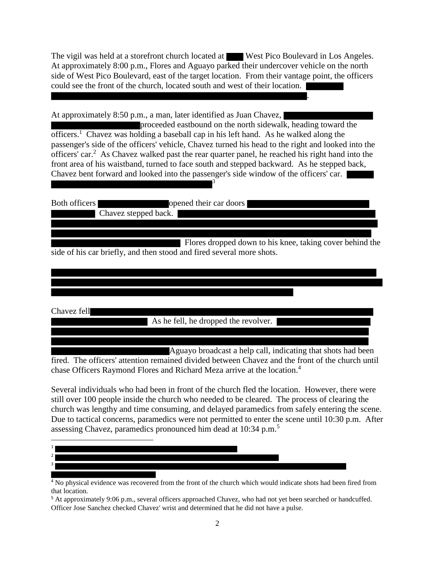The vigil was held at a storefront church located at West Pico Boulevard in Los Angeles. At approximately 8:00 p.m., Flores and Aguayo parked their undercover vehicle on the north side of West Pico Boulevard, east of the target location. From their vantage point, the officers could see the front of the church, located south and west of their location.

.

At approximately 8:50 p.m., a man, later identified as Juan Chavez,

proceeded eastbound on the north sidewalk, heading toward the officers.<sup>1</sup> Chavez was holding a baseball cap in his left hand. As he walked along the passenger's side of the officers' vehicle, Chavez turned his head to the right and looked into the officers' car.<sup>2</sup> As Chavez walked past the rear quarter panel, he reached his right hand into the front area of his waistband, turned to face south and stepped backward. As he stepped back, Chavez bent forward and looked into the passenger's side window of the officers' car. 3

Both officers opened their car doors Chavez stepped back.

 Flores dropped down to his knee, taking cover behind the side of his car briefly, and then stood and fired several more shots.

Chavez fell

As he fell, he dropped the revolver.

Aguayo broadcast a help call, indicating that shots had been fired. The officers' attention remained divided between Chavez and the front of the church until chase Officers Raymond Flores and Richard Meza arrive at the location. 4

Several individuals who had been in front of the church fled the location. However, there were still over 100 people inside the church who needed to be cleared. The process of clearing the church was lengthy and time consuming, and delayed paramedics from safely entering the scene. Due to tactical concerns, paramedics were not permitted to enter the scene until 10:30 p.m. After assessing Chavez, paramedics pronounced him dead at 10:34 p.m.<sup>5</sup>



<sup>&</sup>lt;sup>4</sup> No physical evidence was recovered from the front of the church which would indicate shots had been fired from that location.

<sup>5</sup> At approximately 9:06 p.m., several officers approached Chavez, who had not yet been searched or handcuffed. Officer Jose Sanchez checked Chavez' wrist and determined that he did not have a pulse.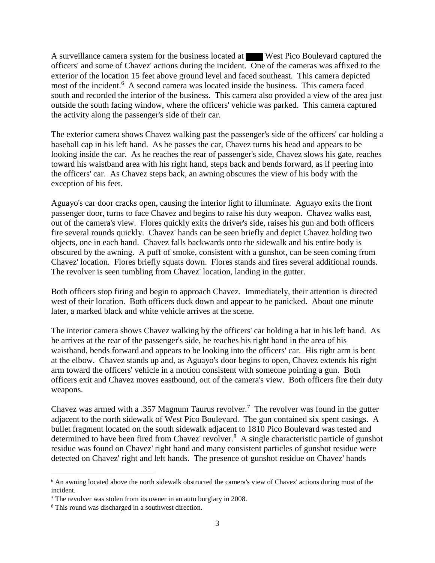A surveillance camera system for the business located at West Pico Boulevard captured the officers' and some of Chavez' actions during the incident. One of the cameras was affixed to the exterior of the location 15 feet above ground level and faced southeast. This camera depicted most of the incident.<sup>6</sup> A second camera was located inside the business. This camera faced south and recorded the interior of the business. This camera also provided a view of the area just outside the south facing window, where the officers' vehicle was parked. This camera captured the activity along the passenger's side of their car.

The exterior camera shows Chavez walking past the passenger's side of the officers' car holding a baseball cap in his left hand. As he passes the car, Chavez turns his head and appears to be looking inside the car. As he reaches the rear of passenger's side, Chavez slows his gate, reaches toward his waistband area with his right hand, steps back and bends forward, as if peering into the officers' car. As Chavez steps back, an awning obscures the view of his body with the exception of his feet.

Aguayo's car door cracks open, causing the interior light to illuminate. Aguayo exits the front passenger door, turns to face Chavez and begins to raise his duty weapon. Chavez walks east, out of the camera's view. Flores quickly exits the driver's side, raises his gun and both officers fire several rounds quickly. Chavez' hands can be seen briefly and depict Chavez holding two objects, one in each hand. Chavez falls backwards onto the sidewalk and his entire body is obscured by the awning. A puff of smoke, consistent with a gunshot, can be seen coming from Chavez' location. Flores briefly squats down. Flores stands and fires several additional rounds. The revolver is seen tumbling from Chavez' location, landing in the gutter.

Both officers stop firing and begin to approach Chavez. Immediately, their attention is directed west of their location. Both officers duck down and appear to be panicked. About one minute later, a marked black and white vehicle arrives at the scene.

The interior camera shows Chavez walking by the officers' car holding a hat in his left hand. As he arrives at the rear of the passenger's side, he reaches his right hand in the area of his waistband, bends forward and appears to be looking into the officers' car. His right arm is bent at the elbow. Chavez stands up and, as Aguayo's door begins to open, Chavez extends his right arm toward the officers' vehicle in a motion consistent with someone pointing a gun. Both officers exit and Chavez moves eastbound, out of the camera's view. Both officers fire their duty weapons.

Chavez was armed with a .357 Magnum Taurus revolver.<sup>7</sup> The revolver was found in the gutter adjacent to the north sidewalk of West Pico Boulevard. The gun contained six spent casings. A bullet fragment located on the south sidewalk adjacent to 1810 Pico Boulevard was tested and determined to have been fired from Chavez' revolver.<sup>8</sup> A single characteristic particle of gunshot residue was found on Chavez' right hand and many consistent particles of gunshot residue were detected on Chavez' right and left hands. The presence of gunshot residue on Chavez' hands

 $\overline{\phantom{a}}$ 

<sup>6</sup> An awning located above the north sidewalk obstructed the camera's view of Chavez' actions during most of the incident.

<sup>&</sup>lt;sup>7</sup> The revolver was stolen from its owner in an auto burglary in 2008.

<sup>8</sup> This round was discharged in a southwest direction.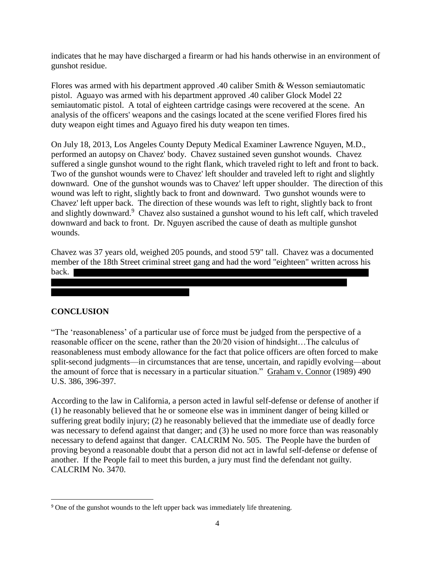indicates that he may have discharged a firearm or had his hands otherwise in an environment of gunshot residue.

Flores was armed with his department approved .40 caliber Smith & Wesson semiautomatic pistol. Aguayo was armed with his department approved .40 caliber Glock Model 22 semiautomatic pistol. A total of eighteen cartridge casings were recovered at the scene. An analysis of the officers' weapons and the casings located at the scene verified Flores fired his duty weapon eight times and Aguayo fired his duty weapon ten times.

On July 18, 2013, Los Angeles County Deputy Medical Examiner Lawrence Nguyen, M.D., performed an autopsy on Chavez' body. Chavez sustained seven gunshot wounds. Chavez suffered a single gunshot wound to the right flank, which traveled right to left and front to back. Two of the gunshot wounds were to Chavez' left shoulder and traveled left to right and slightly downward. One of the gunshot wounds was to Chavez' left upper shoulder. The direction of this wound was left to right, slightly back to front and downward. Two gunshot wounds were to Chavez' left upper back. The direction of these wounds was left to right, slightly back to front and slightly downward.<sup>9</sup> Chavez also sustained a gunshot wound to his left calf, which traveled downward and back to front. Dr. Nguyen ascribed the cause of death as multiple gunshot wounds.

Chavez was 37 years old, weighed 205 pounds, and stood 5'9" tall. Chavez was a documented member of the 18th Street criminal street gang and had the word "eighteen" written across his back.

## **CONCLUSION**

 $\overline{\phantom{a}}$ 

"The 'reasonableness' of a particular use of force must be judged from the perspective of a reasonable officer on the scene, rather than the 20/20 vision of hindsight…The calculus of reasonableness must embody allowance for the fact that police officers are often forced to make split-second judgments—in circumstances that are tense, uncertain, and rapidly evolving—about the amount of force that is necessary in a particular situation." Graham v. Connor (1989) 490 U.S. 386, 396-397.

According to the law in California, a person acted in lawful self-defense or defense of another if (1) he reasonably believed that he or someone else was in imminent danger of being killed or suffering great bodily injury; (2) he reasonably believed that the immediate use of deadly force was necessary to defend against that danger; and (3) he used no more force than was reasonably necessary to defend against that danger. CALCRIM No. 505. The People have the burden of proving beyond a reasonable doubt that a person did not act in lawful self-defense or defense of another. If the People fail to meet this burden, a jury must find the defendant not guilty. CALCRIM No. 3470.

<sup>&</sup>lt;sup>9</sup> One of the gunshot wounds to the left upper back was immediately life threatening.